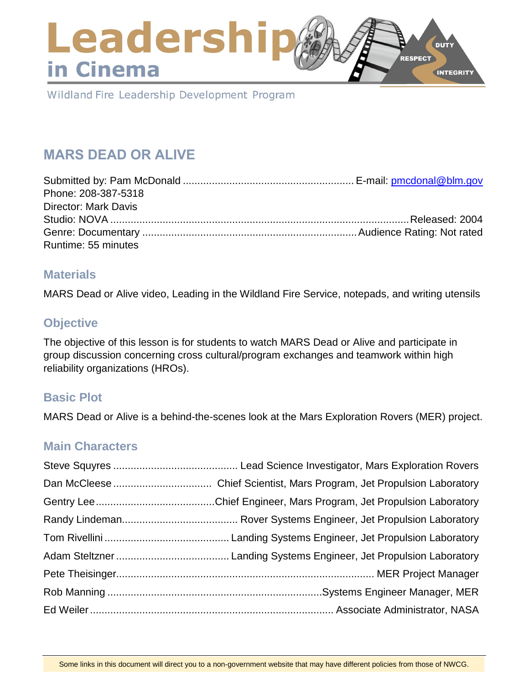# Leadershi **DUTY** RESPECT in Cinema **INTEGRITY**

Wildland Fire Leadership Development Program

# **MARS DEAD OR ALIVE**

| Phone: 208-387-5318         |  |
|-----------------------------|--|
| <b>Director: Mark Davis</b> |  |
|                             |  |
|                             |  |
| Runtime: 55 minutes         |  |

### **Materials**

MARS Dead or Alive video, Leading in the Wildland Fire Service, notepads, and writing utensils

# **Objective**

The objective of this lesson is for students to watch MARS Dead or Alive and participate in group discussion concerning cross cultural/program exchanges and teamwork within high reliability organizations (HROs).

## **Basic Plot**

MARS Dead or Alive is a behind-the-scenes look at the Mars Exploration Rovers (MER) project.

## **Main Characters**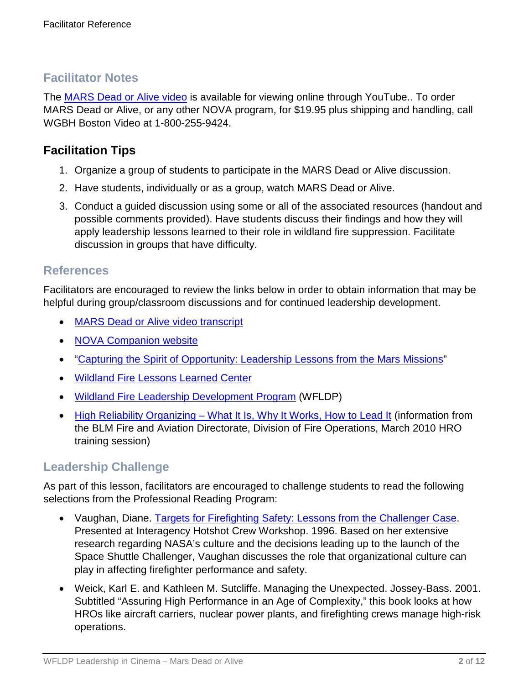# **Facilitator Notes**

The [MARS Dead or Alive video](https://youtu.be/bi4nMJvOeAo) is available for viewing online through YouTube.. To order MARS Dead or Alive, or any other NOVA program, for \$19.95 plus shipping and handling, call WGBH Boston Video at 1-800-255-9424.

# **Facilitation Tips**

- 1. Organize a group of students to participate in the MARS Dead or Alive discussion.
- 2. Have students, individually or as a group, watch MARS Dead or Alive.
- 3. Conduct a guided discussion using some or all of the associated resources (handout and possible comments provided). Have students discuss their findings and how they will apply leadership lessons learned to their role in wildland fire suppression. Facilitate discussion in groups that have difficulty.

### **References**

Facilitators are encouraged to review the links below in order to obtain information that may be helpful during group/classroom discussions and for continued leadership development.

- [MARS Dead or Alive video transcript](http://www.pbs.org/wgbh/nova/transcripts/3101_mars.html)
- [NOVA Companion website](http://www.pbs.org/wgbh/nova/space/is-there-life-on-mars.html)
- ["Capturing the Spirit of Opportunity: Leadership Lessons from the Mars Missions"](http://knowledge.wharton.upenn.edu/article/capturing-the-spirit-of-opportunity-leadership-lessons-from-the-mars-missions/)
- [Wildland Fire Lessons Learned Center](https://www.wildfirelessons.net/home)
- [Wildland Fire Leadership Development Program](https://www.fireleadership.gov/) (WFLDP)
- High Reliability Organizing [What It Is, Why It Works, How to Lead It](https://www.nifc.gov/training/HRO/HRO_2010training.pdf) (information from the BLM Fire and Aviation Directorate, Division of Fire Operations, March 2010 HRO training session)

# **Leadership Challenge**

As part of this lesson, facilitators are encouraged to challenge students to read the following selections from the Professional Reading Program:

- Vaughan, Diane. [Targets for Firefighting Safety: Lessons from the Challenger Case.](https://www.fireleadership.gov/) Presented at Interagency Hotshot Crew Workshop. 1996. Based on her extensive research regarding NASA's culture and the decisions leading up to the launch of the Space Shuttle Challenger, Vaughan discusses the role that organizational culture can play in affecting firefighter performance and safety.
- Weick, Karl E. and Kathleen M. Sutcliffe. Managing the Unexpected. Jossey-Bass. 2001. Subtitled "Assuring High Performance in an Age of Complexity," this book looks at how HROs like aircraft carriers, nuclear power plants, and firefighting crews manage high-risk operations.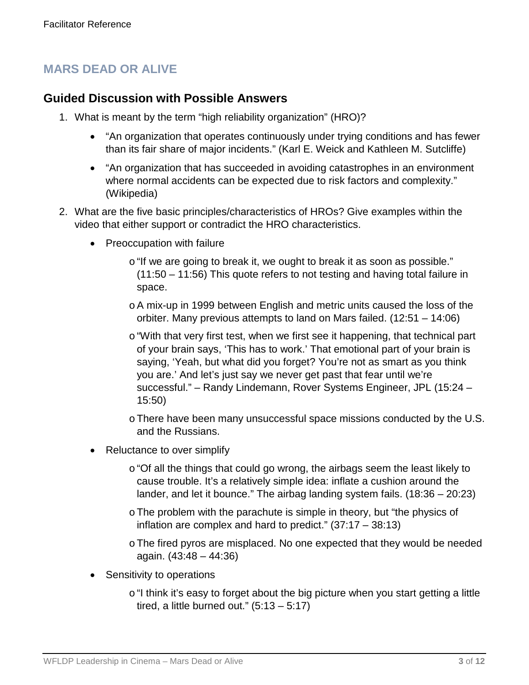# **MARS DEAD OR ALIVE**

### **Guided Discussion with Possible Answers**

- 1. What is meant by the term "high reliability organization" (HRO)?
	- "An organization that operates continuously under trying conditions and has fewer than its fair share of major incidents." (Karl E. Weick and Kathleen M. Sutcliffe)
	- "An organization that has succeeded in avoiding catastrophes in an environment where normal accidents can be expected due to risk factors and complexity." (Wikipedia)
- 2. What are the five basic principles/characteristics of HROs? Give examples within the video that either support or contradict the HRO characteristics.
	- Preoccupation with failure
		- o"If we are going to break it, we ought to break it as soon as possible." (11:50 – 11:56) This quote refers to not testing and having total failure in space.
		- oA mix-up in 1999 between English and metric units caused the loss of the orbiter. Many previous attempts to land on Mars failed. (12:51 – 14:06)
		- o"With that very first test, when we first see it happening, that technical part of your brain says, 'This has to work.' That emotional part of your brain is saying, 'Yeah, but what did you forget? You're not as smart as you think you are.' And let's just say we never get past that fear until we're successful." – Randy Lindemann, Rover Systems Engineer, JPL (15:24 – 15:50)

oThere have been many unsuccessful space missions conducted by the U.S. and the Russians.

- Reluctance to over simplify
	- o "Of all the things that could go wrong, the airbags seem the least likely to cause trouble. It's a relatively simple idea: inflate a cushion around the lander, and let it bounce." The airbag landing system fails. (18:36 – 20:23)
	- oThe problem with the parachute is simple in theory, but "the physics of inflation are complex and hard to predict." (37:17 – 38:13)
	- oThe fired pyros are misplaced. No one expected that they would be needed again. (43:48 – 44:36)
- Sensitivity to operations
	- o "I think it's easy to forget about the big picture when you start getting a little tired, a little burned out."  $(5:13 - 5:17)$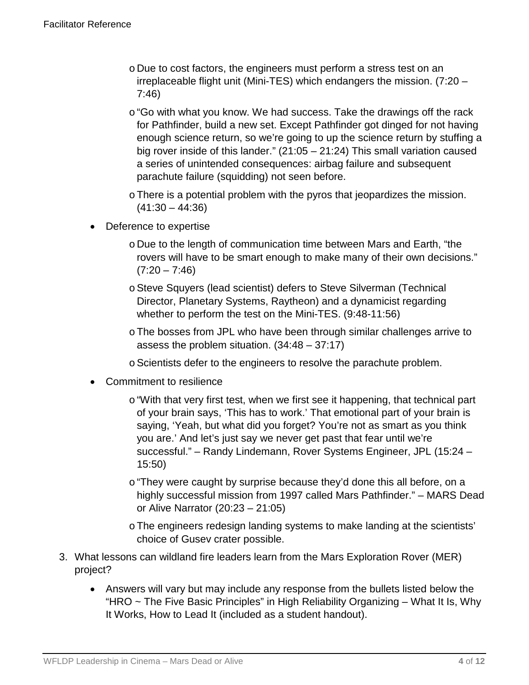- o Due to cost factors, the engineers must perform a stress test on an irreplaceable flight unit (Mini-TES) which endangers the mission. (7:20 – 7:46)
- $\circ$  "Go with what you know. We had success. Take the drawings off the rack for Pathfinder, build a new set. Except Pathfinder got dinged for not having enough science return, so we're going to up the science return by stuffing a big rover inside of this lander." (21:05 – 21:24) This small variation caused a series of unintended consequences: airbag failure and subsequent parachute failure (squidding) not seen before.
- oThere is a potential problem with the pyros that jeopardizes the mission.  $(41:30 - 44:36)$
- Deference to expertise
	- o Due to the length of communication time between Mars and Earth, "the rovers will have to be smart enough to make many of their own decisions."  $(7:20 - 7:46)$
	- oSteve Squyers (lead scientist) defers to Steve Silverman (Technical Director, Planetary Systems, Raytheon) and a dynamicist regarding whether to perform the test on the Mini-TES. (9:48-11:56)
	- oThe bosses from JPL who have been through similar challenges arrive to assess the problem situation. (34:48 – 37:17)
	- oScientists defer to the engineers to resolve the parachute problem.
- Commitment to resilience
	- o "With that very first test, when we first see it happening, that technical part of your brain says, 'This has to work.' That emotional part of your brain is saying, 'Yeah, but what did you forget? You're not as smart as you think you are.' And let's just say we never get past that fear until we're successful." – Randy Lindemann, Rover Systems Engineer, JPL (15:24 – 15:50)
	- o "They were caught by surprise because they'd done this all before, on a highly successful mission from 1997 called Mars Pathfinder." – MARS Dead or Alive Narrator (20:23 – 21:05)
	- oThe engineers redesign landing systems to make landing at the scientists' choice of Gusev crater possible.
- 3. What lessons can wildland fire leaders learn from the Mars Exploration Rover (MER) project?
	- Answers will vary but may include any response from the bullets listed below the "HRO ~ The Five Basic Principles" in High Reliability Organizing – What It Is, Why It Works, How to Lead It (included as a student handout).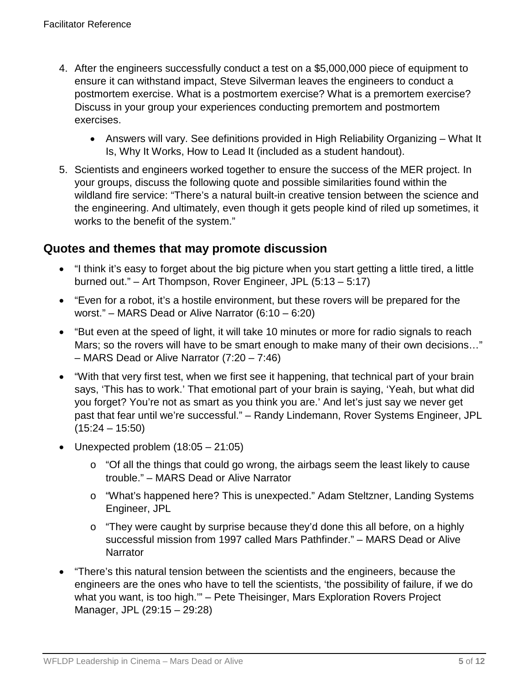- 4. After the engineers successfully conduct a test on a \$5,000,000 piece of equipment to ensure it can withstand impact, Steve Silverman leaves the engineers to conduct a postmortem exercise. What is a postmortem exercise? What is a premortem exercise? Discuss in your group your experiences conducting premortem and postmortem exercises.
	- Answers will vary. See definitions provided in High Reliability Organizing What It Is, Why It Works, How to Lead It (included as a student handout).
- 5. Scientists and engineers worked together to ensure the success of the MER project. In your groups, discuss the following quote and possible similarities found within the wildland fire service: "There's a natural built-in creative tension between the science and the engineering. And ultimately, even though it gets people kind of riled up sometimes, it works to the benefit of the system."

### **Quotes and themes that may promote discussion**

- "I think it's easy to forget about the big picture when you start getting a little tired, a little burned out." – Art Thompson, Rover Engineer, JPL (5:13 – 5:17)
- "Even for a robot, it's a hostile environment, but these rovers will be prepared for the worst." – MARS Dead or Alive Narrator (6:10 – 6:20)
- "But even at the speed of light, it will take 10 minutes or more for radio signals to reach Mars; so the rovers will have to be smart enough to make many of their own decisions…" – MARS Dead or Alive Narrator (7:20 – 7:46)
- "With that very first test, when we first see it happening, that technical part of your brain says, 'This has to work.' That emotional part of your brain is saying, 'Yeah, but what did you forget? You're not as smart as you think you are.' And let's just say we never get past that fear until we're successful." – Randy Lindemann, Rover Systems Engineer, JPL  $(15:24 - 15:50)$
- Unexpected problem  $(18:05 21:05)$ 
	- o "Of all the things that could go wrong, the airbags seem the least likely to cause trouble." – MARS Dead or Alive Narrator
	- o "What's happened here? This is unexpected." Adam Steltzner, Landing Systems Engineer, JPL
	- o "They were caught by surprise because they'd done this all before, on a highly successful mission from 1997 called Mars Pathfinder." – MARS Dead or Alive **Narrator**
- "There's this natural tension between the scientists and the engineers, because the engineers are the ones who have to tell the scientists, 'the possibility of failure, if we do what you want, is too high.'" – Pete Theisinger, Mars Exploration Rovers Project Manager, JPL (29:15 – 29:28)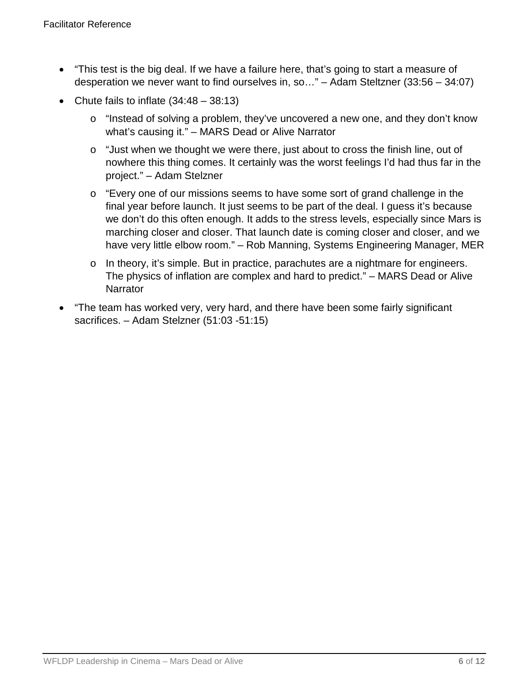- "This test is the big deal. If we have a failure here, that's going to start a measure of desperation we never want to find ourselves in, so…" – Adam Steltzner (33:56 – 34:07)
- Chute fails to inflate  $(34:48 38:13)$ 
	- o "Instead of solving a problem, they've uncovered a new one, and they don't know what's causing it." – MARS Dead or Alive Narrator
	- o "Just when we thought we were there, just about to cross the finish line, out of nowhere this thing comes. It certainly was the worst feelings I'd had thus far in the project." – Adam Stelzner
	- o "Every one of our missions seems to have some sort of grand challenge in the final year before launch. It just seems to be part of the deal. I guess it's because we don't do this often enough. It adds to the stress levels, especially since Mars is marching closer and closer. That launch date is coming closer and closer, and we have very little elbow room." – Rob Manning, Systems Engineering Manager, MER
	- o In theory, it's simple. But in practice, parachutes are a nightmare for engineers. The physics of inflation are complex and hard to predict." – MARS Dead or Alive **Narrator**
- "The team has worked very, very hard, and there have been some fairly significant sacrifices. – Adam Stelzner (51:03 -51:15)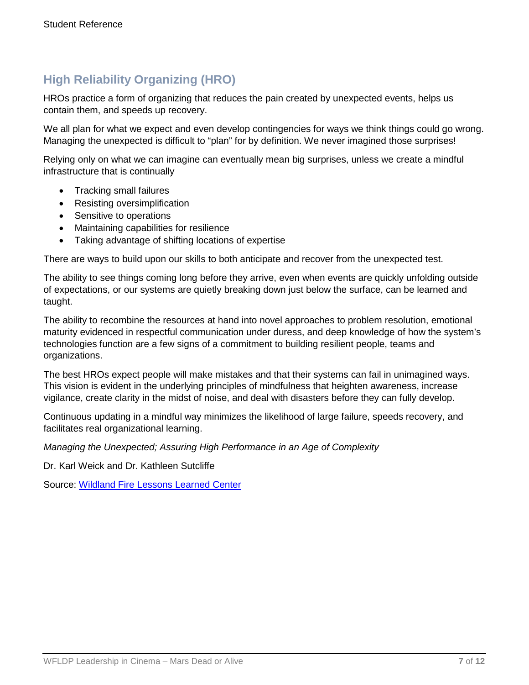# **High Reliability Organizing (HRO)**

HROs practice a form of organizing that reduces the pain created by unexpected events, helps us contain them, and speeds up recovery.

We all plan for what we expect and even develop contingencies for ways we think things could go wrong. Managing the unexpected is difficult to "plan" for by definition. We never imagined those surprises!

Relying only on what we can imagine can eventually mean big surprises, unless we create a mindful infrastructure that is continually

- Tracking small failures
- Resisting oversimplification
- Sensitive to operations
- Maintaining capabilities for resilience
- Taking advantage of shifting locations of expertise

There are ways to build upon our skills to both anticipate and recover from the unexpected test.

The ability to see things coming long before they arrive, even when events are quickly unfolding outside of expectations, or our systems are quietly breaking down just below the surface, can be learned and taught.

The ability to recombine the resources at hand into novel approaches to problem resolution, emotional maturity evidenced in respectful communication under duress, and deep knowledge of how the system's technologies function are a few signs of a commitment to building resilient people, teams and organizations.

The best HROs expect people will make mistakes and that their systems can fail in unimagined ways. This vision is evident in the underlying principles of mindfulness that heighten awareness, increase vigilance, create clarity in the midst of noise, and deal with disasters before they can fully develop.

Continuous updating in a mindful way minimizes the likelihood of large failure, speeds recovery, and facilitates real organizational learning.

*Managing the Unexpected; Assuring High Performance in an Age of Complexity*

Dr. Karl Weick and Dr. Kathleen Sutcliffe

Source: [Wildland Fire Lessons Learned Center](https://www.wildfirelessons.net/home)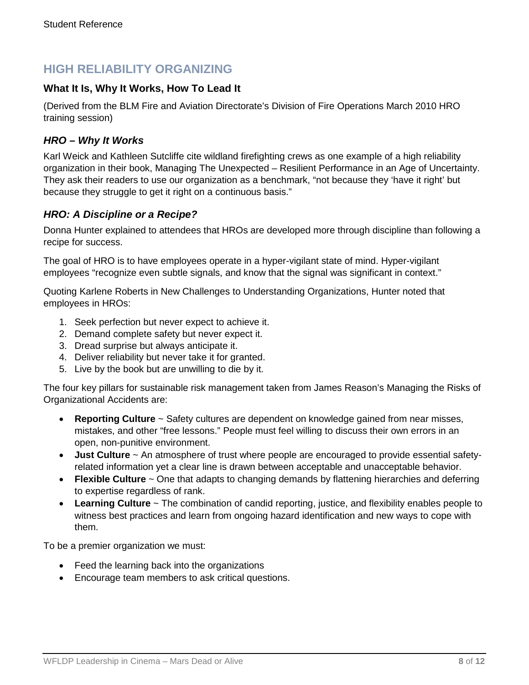# **HIGH RELIABILITY ORGANIZING**

### **What It Is, Why It Works, How To Lead It**

(Derived from the BLM Fire and Aviation Directorate's Division of Fire Operations March 2010 HRO training session)

#### *HRO – Why It Works*

Karl Weick and Kathleen Sutcliffe cite wildland firefighting crews as one example of a high reliability organization in their book, Managing The Unexpected – Resilient Performance in an Age of Uncertainty. They ask their readers to use our organization as a benchmark, "not because they 'have it right' but because they struggle to get it right on a continuous basis."

#### *HRO: A Discipline or a Recipe?*

Donna Hunter explained to attendees that HROs are developed more through discipline than following a recipe for success.

The goal of HRO is to have employees operate in a hyper-vigilant state of mind. Hyper-vigilant employees "recognize even subtle signals, and know that the signal was significant in context."

Quoting Karlene Roberts in New Challenges to Understanding Organizations, Hunter noted that employees in HROs:

- 1. Seek perfection but never expect to achieve it.
- 2. Demand complete safety but never expect it.
- 3. Dread surprise but always anticipate it.
- 4. Deliver reliability but never take it for granted.
- 5. Live by the book but are unwilling to die by it.

The four key pillars for sustainable risk management taken from James Reason's Managing the Risks of Organizational Accidents are:

- **Reporting Culture** ~ Safety cultures are dependent on knowledge gained from near misses, mistakes, and other "free lessons." People must feel willing to discuss their own errors in an open, non-punitive environment.
- **Just Culture** ~ An atmosphere of trust where people are encouraged to provide essential safetyrelated information yet a clear line is drawn between acceptable and unacceptable behavior.
- **Flexible Culture** ~ One that adapts to changing demands by flattening hierarchies and deferring to expertise regardless of rank.
- **Learning Culture** ~ The combination of candid reporting, justice, and flexibility enables people to witness best practices and learn from ongoing hazard identification and new ways to cope with them.

To be a premier organization we must:

- Feed the learning back into the organizations
- Encourage team members to ask critical questions.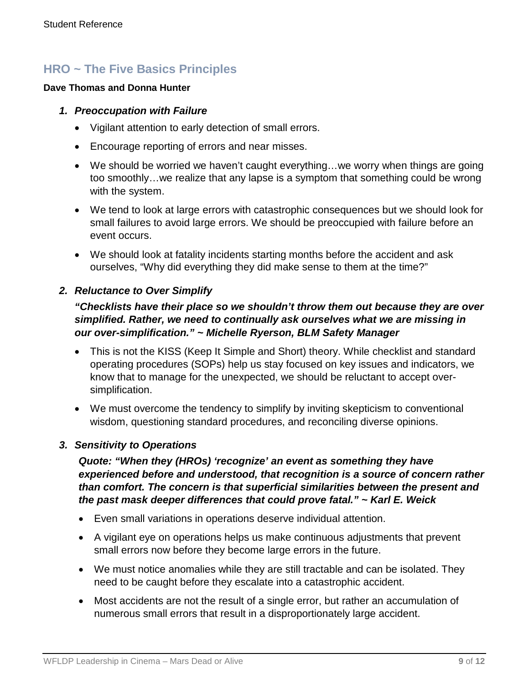# **HRO ~ The Five Basics Principles**

#### **Dave Thomas and Donna Hunter**

#### *1. Preoccupation with Failure*

- Vigilant attention to early detection of small errors.
- Encourage reporting of errors and near misses.
- We should be worried we haven't caught everything...we worry when things are going too smoothly…we realize that any lapse is a symptom that something could be wrong with the system.
- We tend to look at large errors with catastrophic consequences but we should look for small failures to avoid large errors. We should be preoccupied with failure before an event occurs.
- We should look at fatality incidents starting months before the accident and ask ourselves, "Why did everything they did make sense to them at the time?"

### *2. Reluctance to Over Simplify*

### *"Checklists have their place so we shouldn't throw them out because they are over simplified. Rather, we need to continually ask ourselves what we are missing in our over-simplification." ~ Michelle Ryerson, BLM Safety Manager*

- This is not the KISS (Keep It Simple and Short) theory. While checklist and standard operating procedures (SOPs) help us stay focused on key issues and indicators, we know that to manage for the unexpected, we should be reluctant to accept oversimplification.
- We must overcome the tendency to simplify by inviting skepticism to conventional wisdom, questioning standard procedures, and reconciling diverse opinions.

### *3. Sensitivity to Operations*

*Quote: "When they (HROs) 'recognize' an event as something they have experienced before and understood, that recognition is a source of concern rather than comfort. The concern is that superficial similarities between the present and the past mask deeper differences that could prove fatal." ~ Karl E. Weick*

- Even small variations in operations deserve individual attention.
- A vigilant eye on operations helps us make continuous adjustments that prevent small errors now before they become large errors in the future.
- We must notice anomalies while they are still tractable and can be isolated. They need to be caught before they escalate into a catastrophic accident.
- Most accidents are not the result of a single error, but rather an accumulation of numerous small errors that result in a disproportionately large accident.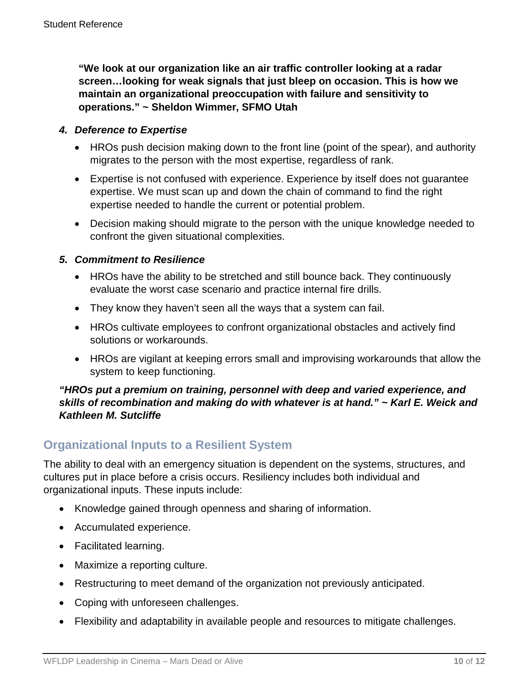**"We look at our organization like an air traffic controller looking at a radar screen…looking for weak signals that just bleep on occasion. This is how we maintain an organizational preoccupation with failure and sensitivity to operations." ~ Sheldon Wimmer, SFMO Utah**

#### *4. Deference to Expertise*

- HROs push decision making down to the front line (point of the spear), and authority migrates to the person with the most expertise, regardless of rank.
- Expertise is not confused with experience. Experience by itself does not guarantee expertise. We must scan up and down the chain of command to find the right expertise needed to handle the current or potential problem.
- Decision making should migrate to the person with the unique knowledge needed to confront the given situational complexities.

### *5. Commitment to Resilience*

- HROs have the ability to be stretched and still bounce back. They continuously evaluate the worst case scenario and practice internal fire drills.
- They know they haven't seen all the ways that a system can fail.
- HROs cultivate employees to confront organizational obstacles and actively find solutions or workarounds.
- HROs are vigilant at keeping errors small and improvising workarounds that allow the system to keep functioning.

### *"HROs put a premium on training, personnel with deep and varied experience, and skills of recombination and making do with whatever is at hand." ~ Karl E. Weick and Kathleen M. Sutcliffe*

# **Organizational Inputs to a Resilient System**

The ability to deal with an emergency situation is dependent on the systems, structures, and cultures put in place before a crisis occurs. Resiliency includes both individual and organizational inputs. These inputs include:

- Knowledge gained through openness and sharing of information.
- Accumulated experience.
- Facilitated learning.
- Maximize a reporting culture.
- Restructuring to meet demand of the organization not previously anticipated.
- Coping with unforeseen challenges.
- Flexibility and adaptability in available people and resources to mitigate challenges.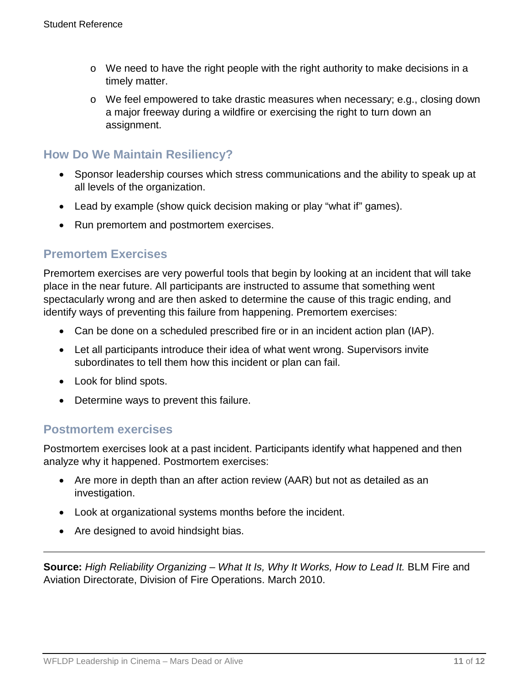- $\circ$  We need to have the right people with the right authority to make decisions in a timely matter.
- o We feel empowered to take drastic measures when necessary; e.g., closing down a major freeway during a wildfire or exercising the right to turn down an assignment.

# **How Do We Maintain Resiliency?**

- Sponsor leadership courses which stress communications and the ability to speak up at all levels of the organization.
- Lead by example (show quick decision making or play "what if" games).
- Run premortem and postmortem exercises.

# **Premortem Exercises**

Premortem exercises are very powerful tools that begin by looking at an incident that will take place in the near future. All participants are instructed to assume that something went spectacularly wrong and are then asked to determine the cause of this tragic ending, and identify ways of preventing this failure from happening. Premortem exercises:

- Can be done on a scheduled prescribed fire or in an incident action plan (IAP).
- Let all participants introduce their idea of what went wrong. Supervisors invite subordinates to tell them how this incident or plan can fail.
- Look for blind spots.
- Determine ways to prevent this failure.

### **Postmortem exercises**

Postmortem exercises look at a past incident. Participants identify what happened and then analyze why it happened. Postmortem exercises:

- Are more in depth than an after action review (AAR) but not as detailed as an investigation.
- Look at organizational systems months before the incident.
- Are designed to avoid hindsight bias.

**Source:** *High Reliability Organizing – What It Is, Why It Works, How to Lead It.* BLM Fire and Aviation Directorate, Division of Fire Operations. March 2010.